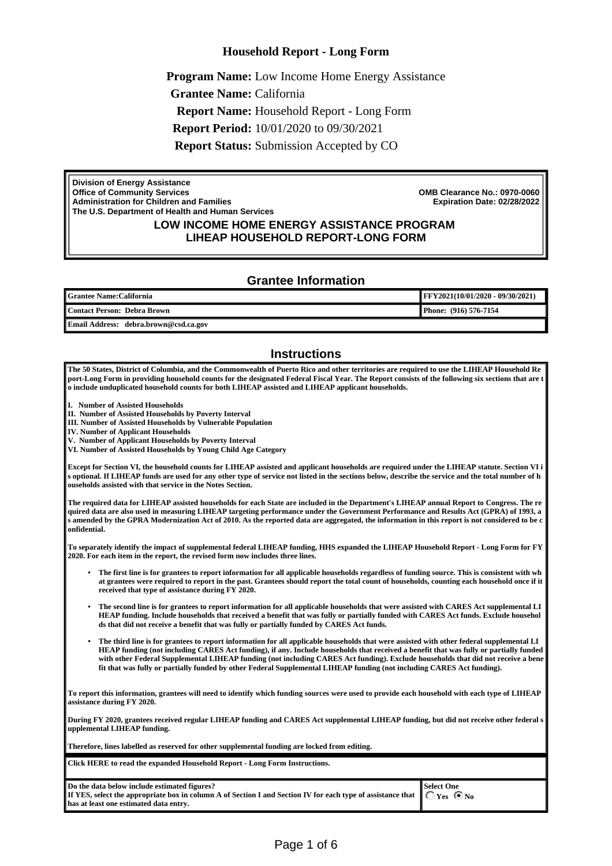#### **Household Report - Long Form**

**Program Name:** Low Income Home Energy Assistance **Grantee Name:** California **Report Name:** Household Report - Long Form **Report Period:** 10/01/2020 to 09/30/2021 **Report Status:** Submission Accepted by CO

**Division of Energy Assistance Office of Community Services Administration for Children and Families The U.S. Department of Health and Human Services**

**OMB Clearance No.: 0970-0060 Expiration Date: 02/28/2022**

#### **LOW INCOME HOME ENERGY ASSISTANCE PROGRAM LIHEAP HOUSEHOLD REPORT-LONG FORM**

#### **Grantee Information**

| <b>'  Grantee Name:California</b> | <b>FFY2021(10/01/2020 - 09/30/2021)</b> |
|-----------------------------------|-----------------------------------------|
| Contact Person: Debra Brown       | Phone: (916) 576-7154                   |
| .<br><b>Ford</b>                  |                                         |

**Email Address: debra.brown@csd.ca.gov**

#### **Instructions**

**The 50 States, District of Columbia, and the Commonwealth of Puerto Rico and other territories are required to use the LIHEAP Household Re port-Long Form in providing household counts for the designated Federal Fiscal Year. The Report consists of the following six sections that are t o include unduplicated household counts for both LIHEAP assisted and LIHEAP applicant households.**

**I. Number of Assisted Households**

**II. Number of Assisted Households by Poverty Interval**

**III. Number of Assisted Households by Vulnerable Population**

**IV. Number of Applicant Households**

**V. Number of Applicant Households by Poverty Interval**

**VI. Number of Assisted Households by Young Child Age Category**

**Except for Section VI, the household counts for LIHEAP assisted and applicant households are required under the LIHEAP statute. Section VI i s optional. If LIHEAP funds are used for any other type of service not listed in the sections below, describe the service and the total number of h ouseholds assisted with that service in the Notes Section.**

**The required data for LIHEAP assisted households for each State are included in the Department's LIHEAP annual Report to Congress. The re quired data are also used in measuring LIHEAP targeting performance under the Government Performance and Results Act (GPRA) of 1993, a s amended by the GPRA Modernization Act of 2010. As the reported data are aggregated, the information in this report is not considered to be c onfidential.**

**To separately identify the impact of supplemental federal LIHEAP funding, HHS expanded the LIHEAP Household Report - Long Form for FY 2020. For each item in the report, the revised form now includes three lines.**

- **The first line is for grantees to report information for all applicable households regardless of funding source. This is consistent with wh at grantees were required to report in the past. Grantees should report the total count of households, counting each household once if it received that type of assistance during FY 2020.**
- **The second line is for grantees to report information for all applicable households that were assisted with CARES Act supplemental LI HEAP funding. Include households that received a benefit that was fully or partially funded with CARES Act funds. Exclude househol ds that did not receive a benefit that was fully or partially funded by CARES Act funds.**
- **The third line is for grantees to report information for all applicable households that were assisted with other federal supplemental LI HEAP funding (not including CARES Act funding), if any. Include households that received a benefit that was fully or partially funded with other Federal Supplemental LIHEAP funding (not including CARES Act funding). Exclude households that did not receive a bene fit that was fully or partially funded by other Federal Supplemental LIHEAP funding (not including CARES Act funding).**

**To report this information, grantees will need to identify which funding sources were used to provide each household with each type of LIHEAP assistance during FY 2020.**

**During FY 2020, grantees received regular LIHEAP funding and CARES Act supplemental LIHEAP funding, but did not receive other federal s upplemental LIHEAP funding.** 

**Therefore, lines labelled as reserved for other supplemental funding are locked from editing.**

**Click [HERE](https://www.acf.hhs.gov/sites/default/files/ocs/gdl_liheap_household_report_long_form_instructions_fy_2020_110520.pdf) to read the expanded Household Report - Long Form Instructions.**

| Do the data below include estimated figures?                                                                                                   | ∥Select One |
|------------------------------------------------------------------------------------------------------------------------------------------------|-------------|
| If YES, select the appropriate box in column A of Section I and Section IV for each type of assistance that $\ $ $\cap$ $\gamma$ es $\circ$ No |             |
| has at least one estimated data entry.                                                                                                         |             |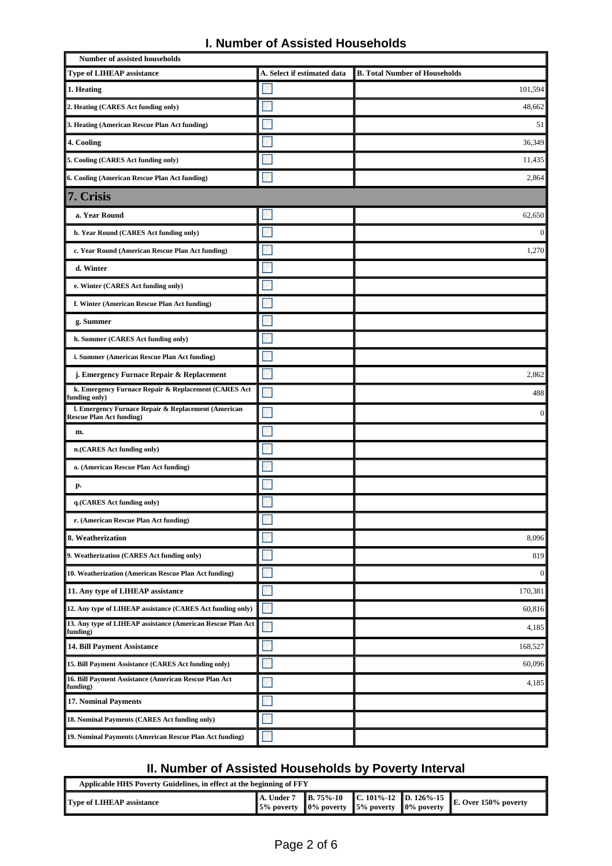|  |  |  |  | <b>I. Number of Assisted Households</b> |
|--|--|--|--|-----------------------------------------|
|--|--|--|--|-----------------------------------------|

| <b>Number of assisted households</b>                                                   |                             |                                      |
|----------------------------------------------------------------------------------------|-----------------------------|--------------------------------------|
| <b>Type of LIHEAP assistance</b>                                                       | A. Select if estimated data | <b>B. Total Number of Households</b> |
| 1. Heating                                                                             |                             | 101,594                              |
| 2. Heating (CARES Act funding only)                                                    |                             | 48,662                               |
| 3. Heating (American Rescue Plan Act funding)                                          |                             | 51                                   |
| 4. Cooling                                                                             |                             | 36,349                               |
| 5. Cooling (CARES Act funding only)                                                    |                             | 11,435                               |
| 6. Cooling (American Rescue Plan Act funding)                                          |                             | 2,864                                |
| 7. Crisis                                                                              |                             |                                      |
| a. Year Round                                                                          |                             | 62,650                               |
| b. Year Round (CARES Act funding only)                                                 |                             | $\mathbf{0}$                         |
| c. Year Round (American Rescue Plan Act funding)                                       |                             | 1,270                                |
| d. Winter                                                                              |                             |                                      |
| e. Winter (CARES Act funding only)                                                     |                             |                                      |
| f. Winter (American Rescue Plan Act funding)                                           |                             |                                      |
| g. Summer                                                                              |                             |                                      |
| h. Summer (CARES Act funding only)                                                     |                             |                                      |
| i. Summer (American Rescue Plan Act funding)                                           |                             |                                      |
| j. Emergency Furnace Repair & Replacement                                              |                             | 2,862                                |
| k. Emergency Furnace Repair & Replacement (CARES Act<br>funding only)                  |                             | 488                                  |
| I. Emergency Furnace Repair & Replacement (American<br><b>Rescue Plan Act funding)</b> |                             | $\mathbf{0}$                         |
| m.                                                                                     |                             |                                      |
| n.(CARES Act funding only)                                                             |                             |                                      |
| o. (American Rescue Plan Act funding)                                                  |                             |                                      |
| р.                                                                                     |                             |                                      |
| q.(CARES Act funding only)                                                             |                             |                                      |
| r. (American Rescue Plan Act funding)                                                  |                             |                                      |
| 8. Weatherization                                                                      |                             | 8,096                                |
| 9. Weatherization (CARES Act funding only)                                             |                             | 819                                  |
| 10. Weatherization (American Rescue Plan Act funding)                                  |                             | $\mathbf{0}$                         |
| 11. Any type of LIHEAP assistance                                                      |                             | 170,381                              |
| 12. Any type of LIHEAP assistance (CARES Act funding only)                             |                             | 60,816                               |
| 13. Any type of LIHEAP assistance (American Rescue Plan Act)<br>funding)               |                             | 4,185                                |
| 14. Bill Payment Assistance                                                            |                             | 168,527                              |
| 15. Bill Payment Assistance (CARES Act funding only)                                   |                             | 60,096                               |
| 16. Bill Payment Assistance (American Rescue Plan Act<br>funding)                      |                             | 4,185                                |
| <b>17. Nominal Payments</b>                                                            |                             |                                      |
| 18. Nominal Payments (CARES Act funding only)                                          |                             |                                      |
| 19. Nominal Payments (American Rescue Plan Act funding)                                |                             |                                      |

### **II. Number of Assisted Households by Poverty Interval**

| Applicable HHS Poverty Guidelines, in effect at the beginning of FFY |                                                                                                         |  |  |  |                                                                 |
|----------------------------------------------------------------------|---------------------------------------------------------------------------------------------------------|--|--|--|-----------------------------------------------------------------|
| <b>Type of LIHEAP assistance</b>                                     | $\parallel$ 5% poverty $\parallel$ 0% poverty $\parallel$ 5% poverty $\parallel$ 0% poverty $\parallel$ |  |  |  | A. Under 7 B. 75%-10 C. 101%-12 D. 126%-15 E. Over 150% poverty |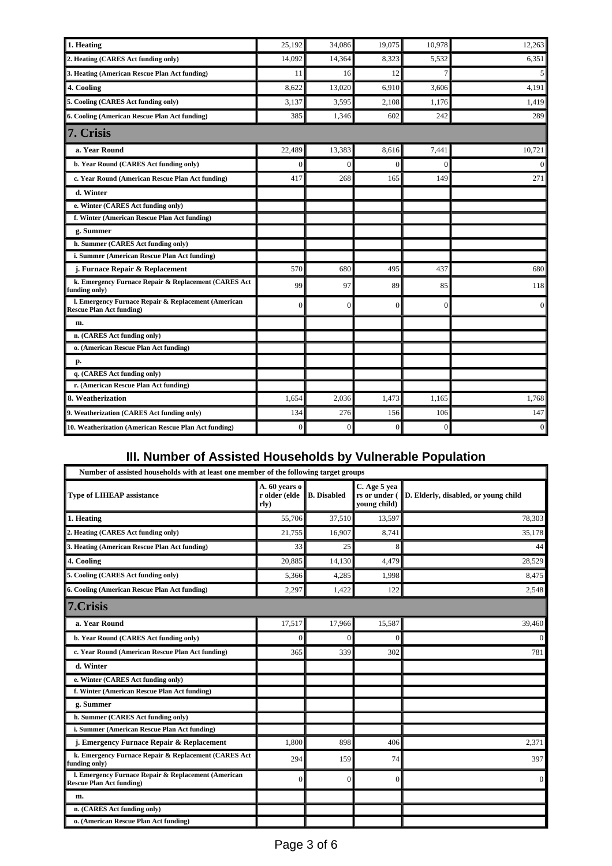| 1. Heating                                                                             | 25,192       | 34,086       | 19,075         | 10,978   | 12,263           |
|----------------------------------------------------------------------------------------|--------------|--------------|----------------|----------|------------------|
| 2. Heating (CARES Act funding only)                                                    | 14,092       | 14,364       | 8,323          | 5,532    | 6,351            |
| 3. Heating (American Rescue Plan Act funding)                                          | 11           | 16           | 12             |          | 5                |
| 4. Cooling                                                                             | 8,622        | 13,020       | 6,910          | 3,606    | 4,191            |
| 5. Cooling (CARES Act funding only)                                                    | 3,137        | 3,595        | 2,108          | 1.176    | 1,419            |
| 6. Cooling (American Rescue Plan Act funding)                                          | 385          | 1,346        | 602            | 242      | 289              |
| 7. Crisis                                                                              |              |              |                |          |                  |
| a. Year Round                                                                          | 22.489       | 13,383       | 8.616          | 7.441    | 10,721           |
| b. Year Round (CARES Act funding only)                                                 | $\mathbf{0}$ | $\mathbf{0}$ | $\overline{0}$ | $\Omega$ | $\boldsymbol{0}$ |
| c. Year Round (American Rescue Plan Act funding)                                       | 417          | 268          | 165            | 149      | 271              |
| d. Winter                                                                              |              |              |                |          |                  |
| e. Winter (CARES Act funding only)                                                     |              |              |                |          |                  |
| f. Winter (American Rescue Plan Act funding)                                           |              |              |                |          |                  |
| g. Summer                                                                              |              |              |                |          |                  |
| h. Summer (CARES Act funding only)                                                     |              |              |                |          |                  |
| i. Summer (American Rescue Plan Act funding)                                           |              |              |                |          |                  |
| j. Furnace Repair & Replacement                                                        | 570          | 680          | 495            | 437      | 680              |
| k. Emergency Furnace Repair & Replacement (CARES Act<br>funding only)                  | 99           | 97           | 89             | 85       | 118              |
| I. Emergency Furnace Repair & Replacement (American<br><b>Rescue Plan Act funding)</b> | $\mathbf{0}$ | $\Omega$     | $\overline{0}$ | $\theta$ | $\mathbf{0}$     |
| m.                                                                                     |              |              |                |          |                  |
| n. (CARES Act funding only)                                                            |              |              |                |          |                  |
| o. (American Rescue Plan Act funding)                                                  |              |              |                |          |                  |
| p.                                                                                     |              |              |                |          |                  |
| q. (CARES Act funding only)                                                            |              |              |                |          |                  |
| r. (American Rescue Plan Act funding)                                                  |              |              |                |          |                  |
| 8. Weatherization                                                                      | 1,654        | 2,036        | 1,473          | 1,165    | 1,768            |
| 9. Weatherization (CARES Act funding only)                                             | 134          | 276          | 156            | 106      | 147              |
| 10. Weatherization (American Rescue Plan Act funding)                                  | $\mathbf{0}$ | $\Omega$     | $\Omega$       | $\Omega$ | $\mathbf{0}$     |

# **III. Number of Assisted Households by Vulnerable Population**

| Number of assisted households with at least one member of the following target groups  |                                        |                    |                                               |                                      |  |  |
|----------------------------------------------------------------------------------------|----------------------------------------|--------------------|-----------------------------------------------|--------------------------------------|--|--|
| <b>Type of LIHEAP assistance</b>                                                       | A. 60 years o<br>r older (elde<br>rly) | <b>B.</b> Disabled | C. Age 5 yea<br>rs or under (<br>young child) | D. Elderly, disabled, or young child |  |  |
| 1. Heating                                                                             | 55,706                                 | 37.510             | 13,597                                        | 78,303                               |  |  |
| 2. Heating (CARES Act funding only)                                                    | 21,755                                 | 16.907             | 8.741                                         | 35,178                               |  |  |
| 3. Heating (American Rescue Plan Act funding)                                          | 33                                     | 25                 | 8                                             | 44                                   |  |  |
| 4. Cooling                                                                             | 20,885                                 | 14,130             | 4,479                                         | 28,529                               |  |  |
| 5. Cooling (CARES Act funding only)                                                    | 5,366                                  | 4,285              | 1,998                                         | 8,475                                |  |  |
| 6. Cooling (American Rescue Plan Act funding)                                          | 2,297                                  | 1,422              | 122                                           | 2,548                                |  |  |
| 7.Crisis                                                                               |                                        |                    |                                               |                                      |  |  |
| a. Year Round                                                                          | 17,517                                 | 17,966             | 15,587                                        | 39,460                               |  |  |
| b. Year Round (CARES Act funding only)                                                 | $\Omega$                               | $\Omega$           | $\Omega$                                      | $\overline{0}$                       |  |  |
| c. Year Round (American Rescue Plan Act funding)                                       | 365                                    | 339                | 302                                           | 781                                  |  |  |
| d. Winter                                                                              |                                        |                    |                                               |                                      |  |  |
| e. Winter (CARES Act funding only)                                                     |                                        |                    |                                               |                                      |  |  |
| f. Winter (American Rescue Plan Act funding)                                           |                                        |                    |                                               |                                      |  |  |
| g. Summer                                                                              |                                        |                    |                                               |                                      |  |  |
| h. Summer (CARES Act funding only)                                                     |                                        |                    |                                               |                                      |  |  |
| i. Summer (American Rescue Plan Act funding)                                           |                                        |                    |                                               |                                      |  |  |
| j. Emergency Furnace Repair & Replacement                                              | 1,800                                  | 898                | 406                                           | 2,371                                |  |  |
| k. Emergency Furnace Repair & Replacement (CARES Act<br>funding only)                  | 294                                    | 159                | 74                                            | 397                                  |  |  |
| I. Emergency Furnace Repair & Replacement (American<br><b>Rescue Plan Act funding)</b> | $\mathbf{0}$                           | $\Omega$           | $\Omega$                                      | $\overline{0}$                       |  |  |
| m.                                                                                     |                                        |                    |                                               |                                      |  |  |
| n. (CARES Act funding only)                                                            |                                        |                    |                                               |                                      |  |  |
| o. (American Rescue Plan Act funding)                                                  |                                        |                    |                                               |                                      |  |  |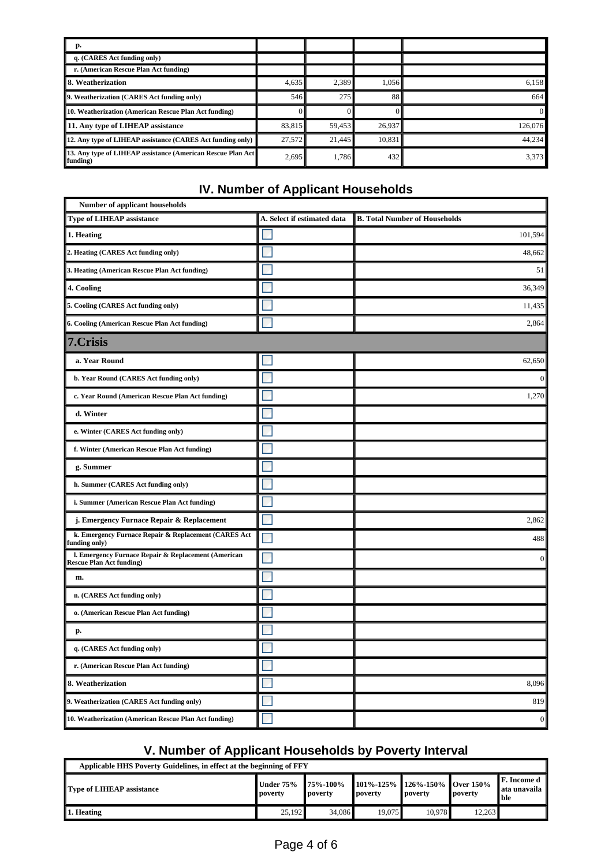| р.                                                                       |        |        |        |          |
|--------------------------------------------------------------------------|--------|--------|--------|----------|
| q. (CARES Act funding only)                                              |        |        |        |          |
| r. (American Rescue Plan Act funding)                                    |        |        |        |          |
| <b>8. Weatherization</b>                                                 | 4,635  | 2,389  | 1.056  | 6.158    |
| 9. Weatherization (CARES Act funding only)                               | 546    | 275    | 88     | 664      |
| 10. Weatherization (American Rescue Plan Act funding)                    |        |        |        | $\Omega$ |
| 11. Any type of LIHEAP assistance                                        | 83,815 | 59,453 | 26,937 | 126,076  |
| 12. Any type of LIHEAP assistance (CARES Act funding only)               | 27,572 | 21.445 | 10.831 | 44.234   |
| 13. Any type of LIHEAP assistance (American Rescue Plan Act)<br>funding) | 2,695  | 1.786  | 432    | 3,373    |

# **IV. Number of Applicant Households**

| Number of applicant households                                                         |                             |                                      |
|----------------------------------------------------------------------------------------|-----------------------------|--------------------------------------|
| <b>Type of LIHEAP assistance</b>                                                       | A. Select if estimated data | <b>B. Total Number of Households</b> |
| 1. Heating                                                                             |                             | 101,594                              |
| 2. Heating (CARES Act funding only)                                                    |                             | 48,662                               |
| 3. Heating (American Rescue Plan Act funding)                                          |                             | 51                                   |
| 4. Cooling                                                                             |                             | 36,349                               |
| 5. Cooling (CARES Act funding only)                                                    |                             | 11,435                               |
| 6. Cooling (American Rescue Plan Act funding)                                          |                             | 2,864                                |
| 7.Crisis                                                                               |                             |                                      |
| a. Year Round                                                                          |                             | 62,650                               |
| b. Year Round (CARES Act funding only)                                                 |                             | $\overline{0}$                       |
| c. Year Round (American Rescue Plan Act funding)                                       |                             | 1,270                                |
| d. Winter                                                                              |                             |                                      |
| e. Winter (CARES Act funding only)                                                     |                             |                                      |
| f. Winter (American Rescue Plan Act funding)                                           |                             |                                      |
| g. Summer                                                                              |                             |                                      |
| h. Summer (CARES Act funding only)                                                     |                             |                                      |
| i. Summer (American Rescue Plan Act funding)                                           |                             |                                      |
| j. Emergency Furnace Repair & Replacement                                              |                             | 2,862                                |
| k. Emergency Furnace Repair & Replacement (CARES Act<br>funding only)                  |                             | 488                                  |
| l. Emergency Furnace Repair & Replacement (American<br><b>Rescue Plan Act funding)</b> |                             | $\boldsymbol{0}$                     |
| m.                                                                                     |                             |                                      |
| n. (CARES Act funding only)                                                            |                             |                                      |
| o. (American Rescue Plan Act funding)                                                  |                             |                                      |
| p.                                                                                     |                             |                                      |
| q. (CARES Act funding only)                                                            |                             |                                      |
| r. (American Rescue Plan Act funding)                                                  |                             |                                      |
| 8. Weatherization                                                                      |                             | 8,096                                |
| 9. Weatherization (CARES Act funding only)                                             |                             | 819                                  |
| 10. Weatherization (American Rescue Plan Act funding)                                  |                             | $\boldsymbol{0}$                     |

# **V. Number of Applicant Households by Poverty Interval**

| Applicable HHS Poverty Guidelines, in effect at the beginning of FFY |                                    |                              |                                               |         |         |                                         |
|----------------------------------------------------------------------|------------------------------------|------------------------------|-----------------------------------------------|---------|---------|-----------------------------------------|
| Type of LIHEAP assistance                                            | <b>Under 75%</b><br><b>Doverty</b> | $175\% - 100\%$<br>∥ poverty | 101%-125%   126%-150%    Over 150%<br>poverty | poverty | povertv | ∥F. Income d<br>∥ata unavaila<br>ll ble |
| $\parallel$ 1. Heating                                               | 25,192                             | 34,086                       | 19.075∥                                       | 10.978  | 12.263  |                                         |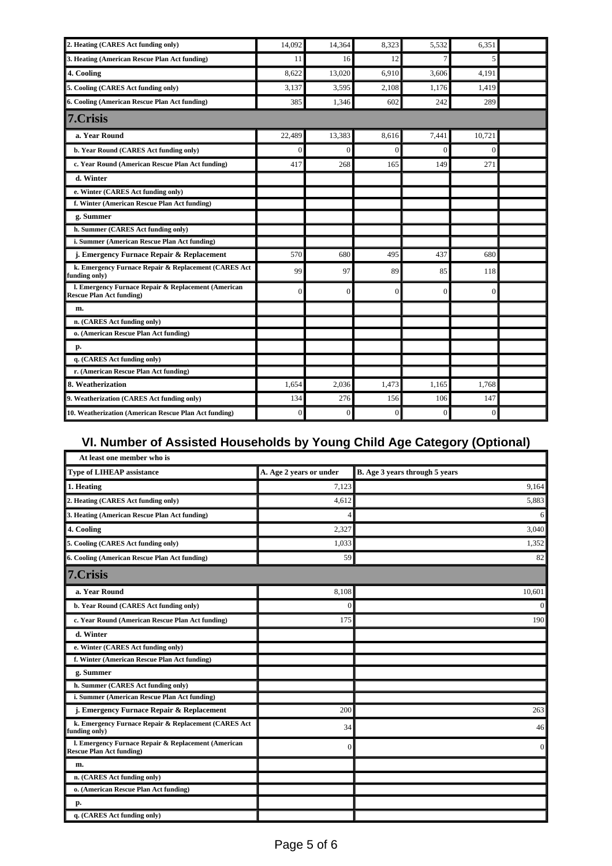| 2. Heating (CARES Act funding only)                                                    | 14,092         | 14,364         | 8,323          | 5,532    | 6,351          |  |
|----------------------------------------------------------------------------------------|----------------|----------------|----------------|----------|----------------|--|
| 3. Heating (American Rescue Plan Act funding)                                          | 11             | 16             | 12             | 7        | 5              |  |
| 4. Cooling                                                                             | 8.622          | 13,020         | 6.910          | 3.606    | 4.191          |  |
| 5. Cooling (CARES Act funding only)                                                    | 3,137          | 3,595          | 2,108          | 1.176    | 1,419          |  |
| 6. Cooling (American Rescue Plan Act funding)                                          | 385            | 1,346          | 602            | 242      | 289            |  |
| 7.Crisis                                                                               |                |                |                |          |                |  |
| a. Year Round                                                                          | 22,489         | 13,383         | 8,616          | 7.441    | 10,721         |  |
| b. Year Round (CARES Act funding only)                                                 | $\overline{0}$ | $\overline{0}$ | $\theta$       | $\Omega$ | $\Omega$       |  |
| c. Year Round (American Rescue Plan Act funding)                                       | 417            | 268            | 165            | 149      | 271            |  |
| d. Winter                                                                              |                |                |                |          |                |  |
| e. Winter (CARES Act funding only)                                                     |                |                |                |          |                |  |
| f. Winter (American Rescue Plan Act funding)                                           |                |                |                |          |                |  |
| g. Summer                                                                              |                |                |                |          |                |  |
| h. Summer (CARES Act funding only)                                                     |                |                |                |          |                |  |
| i. Summer (American Rescue Plan Act funding)                                           |                |                |                |          |                |  |
| j. Emergency Furnace Repair & Replacement                                              | 570            | 680            | 495            | 437      | 680            |  |
| k. Emergency Furnace Repair & Replacement (CARES Act<br>funding only)                  | 99             | 97             | 89             | 85       | 118            |  |
| l. Emergency Furnace Repair & Replacement (American<br><b>Rescue Plan Act funding)</b> | $\theta$       | $\Omega$       | $\Omega$       | $\Omega$ | $\Omega$       |  |
| m.                                                                                     |                |                |                |          |                |  |
| n. (CARES Act funding only)                                                            |                |                |                |          |                |  |
| o. (American Rescue Plan Act funding)                                                  |                |                |                |          |                |  |
| p.                                                                                     |                |                |                |          |                |  |
| q. (CARES Act funding only)                                                            |                |                |                |          |                |  |
| r. (American Rescue Plan Act funding)                                                  |                |                |                |          |                |  |
| 8. Weatherization                                                                      | 1.654          | 2,036          | 1,473          | 1,165    | 1,768          |  |
| 9. Weatherization (CARES Act funding only)                                             | 134            | 276            | 156            | 106      | 147            |  |
| 10. Weatherization (American Rescue Plan Act funding)                                  | $\overline{0}$ | $\overline{0}$ | $\overline{0}$ | $\theta$ | $\overline{0}$ |  |

# **VI. Number of Assisted Households by Young Child Age Category (Optional)**

| At least one member who is                                                             |                         |                                |
|----------------------------------------------------------------------------------------|-------------------------|--------------------------------|
| <b>Type of LIHEAP assistance</b>                                                       | A. Age 2 years or under | B. Age 3 years through 5 years |
| 1. Heating                                                                             | 7,123                   | 9,164                          |
| 2. Heating (CARES Act funding only)                                                    | 4,612                   | 5,883                          |
| 3. Heating (American Rescue Plan Act funding)                                          | 4                       | $6\vert$                       |
| 4. Cooling                                                                             | 2,327                   | 3,040                          |
| 5. Cooling (CARES Act funding only)                                                    | 1,033                   | 1,352                          |
| 6. Cooling (American Rescue Plan Act funding)                                          | 59                      | 82                             |
| 7.Crisis                                                                               |                         |                                |
| a. Year Round                                                                          | 8,108                   | 10,601                         |
| b. Year Round (CARES Act funding only)                                                 | $\Omega$                | $\overline{0}$                 |
| c. Year Round (American Rescue Plan Act funding)                                       | 175                     | 190                            |
| d. Winter                                                                              |                         |                                |
| e. Winter (CARES Act funding only)                                                     |                         |                                |
| f. Winter (American Rescue Plan Act funding)                                           |                         |                                |
| g. Summer                                                                              |                         |                                |
| h. Summer (CARES Act funding only)                                                     |                         |                                |
| i. Summer (American Rescue Plan Act funding)                                           |                         |                                |
| j. Emergency Furnace Repair & Replacement                                              | 200                     | 263                            |
| k. Emergency Furnace Repair & Replacement (CARES Act<br>funding only)                  | 34                      | 46                             |
| l. Emergency Furnace Repair & Replacement (American<br><b>Rescue Plan Act funding)</b> | $\overline{0}$          | $\overline{0}$                 |
| m.                                                                                     |                         |                                |
| n. (CARES Act funding only)                                                            |                         |                                |
| o. (American Rescue Plan Act funding)                                                  |                         |                                |
| р.                                                                                     |                         |                                |
| q. (CARES Act funding only)                                                            |                         |                                |